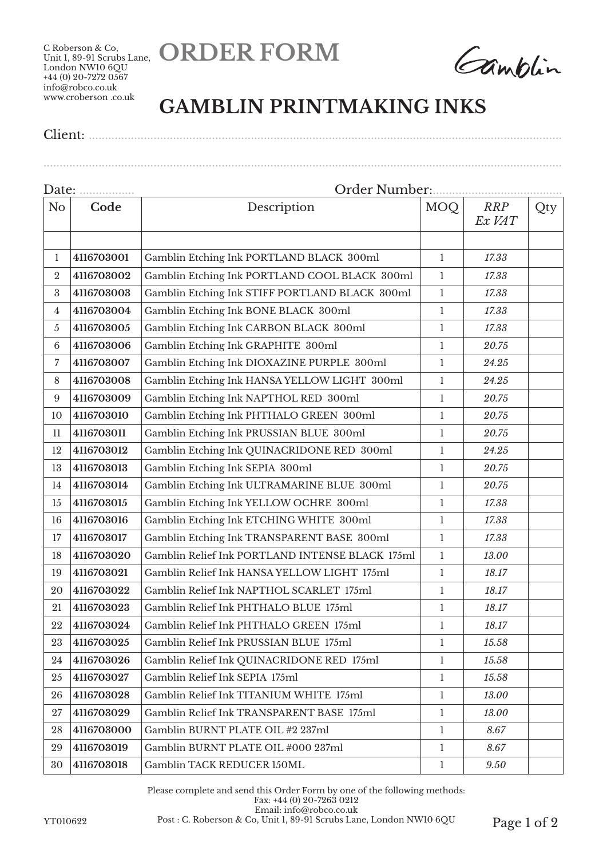**ORDER FORM**

C Roberson & Co, Unit 1, 89-91 Scrubs Lane, London NW10 6QU +44 (0) 20-7272 0567 info@robco.co.uk www.croberson .co.uk

Gamblin

## **GAMBLIN PRINTMAKING INKS**

Client: ..................................................................................................................................................

| Date:<br>.     |            | Order Number                                    |              |                      |     |  |  |
|----------------|------------|-------------------------------------------------|--------------|----------------------|-----|--|--|
| N <sub>o</sub> | Code       | Description                                     | MOQ          | <b>RRP</b><br>Ex VAT | Qty |  |  |
|                |            |                                                 |              |                      |     |  |  |
| 1              | 4116703001 | Gamblin Etching Ink PORTLAND BLACK 300ml        | $\mathbf{1}$ | 17.33                |     |  |  |
| $\overline{2}$ | 4116703002 | Gamblin Etching Ink PORTLAND COOL BLACK 300ml   | $\mathbf{1}$ | 17.33                |     |  |  |
| 3              | 4116703003 | Gamblin Etching Ink STIFF PORTLAND BLACK 300ml  | $\mathbf{1}$ | 17.33                |     |  |  |
| 4              | 4116703004 | Gamblin Etching Ink BONE BLACK 300ml            | $\mathbf{1}$ | 17.33                |     |  |  |
| 5              | 4116703005 | Gamblin Etching Ink CARBON BLACK 300ml          | $\mathbf{1}$ | 17.33                |     |  |  |
| 6              | 4116703006 | Gamblin Etching Ink GRAPHITE 300ml              | $\mathbf{1}$ | 20.75                |     |  |  |
| 7              | 4116703007 | Gamblin Etching Ink DIOXAZINE PURPLE 300ml      | $\mathbf{1}$ | 24.25                |     |  |  |
| 8              | 4116703008 | Gamblin Etching Ink HANSA YELLOW LIGHT 300ml    | $\mathbf{1}$ | 24.25                |     |  |  |
| 9              | 4116703009 | Gamblin Etching Ink NAPTHOL RED 300ml           | $\mathbf{1}$ | 20.75                |     |  |  |
| 10             | 4116703010 | Gamblin Etching Ink PHTHALO GREEN 300ml         | $\mathbf{1}$ | 20.75                |     |  |  |
| 11             | 4116703011 | Gamblin Etching Ink PRUSSIAN BLUE 300ml         | $\mathbf{1}$ | 20.75                |     |  |  |
| 12             | 4116703012 | Gamblin Etching Ink QUINACRIDONE RED 300ml      | $\mathbf{1}$ | 24.25                |     |  |  |
| 13             | 4116703013 | Gamblin Etching Ink SEPIA 300ml                 | $\mathbf{1}$ | 20.75                |     |  |  |
| 14             | 4116703014 | Gamblin Etching Ink ULTRAMARINE BLUE 300ml      | $\mathbf{1}$ | 20.75                |     |  |  |
| 15             | 4116703015 | Gamblin Etching Ink YELLOW OCHRE 300ml          | $\mathbf{1}$ | 17.33                |     |  |  |
| 16             | 4116703016 | Gamblin Etching Ink ETCHING WHITE 300ml         | $\mathbf{1}$ | 17.33                |     |  |  |
| 17             | 4116703017 | Gamblin Etching Ink TRANSPARENT BASE 300ml      | $\mathbf{1}$ | 17.33                |     |  |  |
| 18             | 4116703020 | Gamblin Relief Ink PORTLAND INTENSE BLACK 175ml | $\mathbf{1}$ | 13.00                |     |  |  |
| 19             | 4116703021 | Gamblin Relief Ink HANSA YELLOW LIGHT 175ml     | $\mathbf{1}$ | 18.17                |     |  |  |
| 20             | 4116703022 | Gamblin Relief Ink NAPTHOL SCARLET 175ml        | $\mathbf{1}$ | 18.17                |     |  |  |
| 21             | 4116703023 | Gamblin Relief Ink PHTHALO BLUE 175ml           | $\mathbf{1}$ | 18.17                |     |  |  |
| 22             | 4116703024 | Gamblin Relief Ink PHTHALO GREEN 175ml          | $\mathbf{1}$ | 18.17                |     |  |  |
| 23             | 4116703025 | Gamblin Relief Ink PRUSSIAN BLUE 175ml          | $\mathbf{1}$ | 15.58                |     |  |  |
| 24             | 4116703026 | Gamblin Relief Ink QUINACRIDONE RED 175ml       | $\mathbf{1}$ | 15.58                |     |  |  |
| 25             | 4116703027 | Gamblin Relief Ink SEPIA 175ml                  | $\mathbf{1}$ | 15.58                |     |  |  |
| 26             | 4116703028 | Gamblin Relief Ink TITANIUM WHITE 175ml         | $\mathbf{1}$ | 13.00                |     |  |  |
| 27             | 4116703029 | Gamblin Relief Ink TRANSPARENT BASE 175ml       | $\mathbf{1}$ | 13.00                |     |  |  |
| 28             | 4116703000 | Gamblin BURNT PLATE OIL #2 237ml                | $\mathbf{1}$ | 8.67                 |     |  |  |
| 29             | 4116703019 | Gamblin BURNT PLATE OIL #000 237ml              | $\mathbf{1}$ | 8.67                 |     |  |  |
| 30             | 4116703018 | Gamblin TACK REDUCER 150ML                      | $\mathbf{1}$ | 9.50                 |     |  |  |

Please complete and send this Order Form by one of the following methods: Fax: +44 (0) 20-7263 0212 Email: info@robco.co.uk YT010622 Post : C. Roberson & Co, Unit 1, 89-91 Scrubs Lane, London NW10 6QU